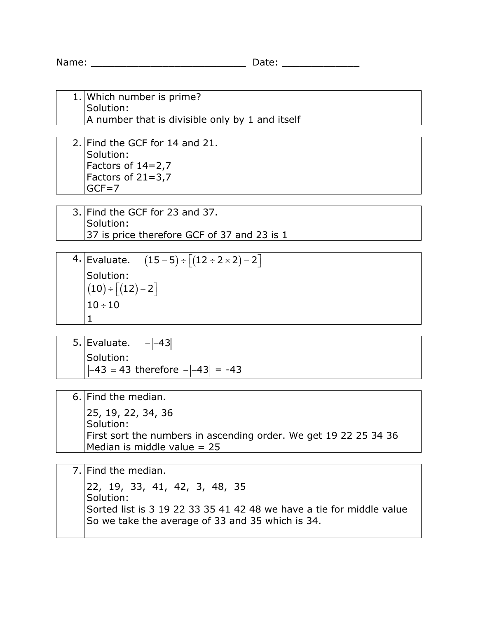Name: \_\_\_\_\_\_\_\_\_\_\_\_\_\_\_\_\_\_\_\_\_\_\_\_\_\_ Date: \_\_\_\_\_\_\_\_\_\_\_\_\_

1. Which number is prime? Solution: A number that is divisible only by 1 and itself

2. Find the GCF for 14 and 21. Solution: Factors of 14=2,7 Factors of 21=3,7  $GCF = 7$ 

3. Find the GCF for 23 and 37. Solution: 37 is price therefore GCF of 37 and 23 is 1

4. Evaluate.  $(15-5) \div [(12 \div 2 \times 2) - 2]$ Solution:  $\left(10\right)$  ÷  $\left\lfloor \left(12\right) - 2\right\rfloor$  $10 \div 10$ 1

5. Evaluate.  $-|-43|$ Solution:  $|-43| = 43$  therefore  $-|-43| = -43$ 

| 25, 19, 22, 34, 36<br>Solution:                                                                 |
|-------------------------------------------------------------------------------------------------|
| First sort the numbers in ascending order. We get 19 22 25 34 36<br>Median is middle value = 25 |

7. Find the median. 22, 19, 33, 41, 42, 3, 48, 35 Solution: Sorted list is 3 19 22 33 35 41 42 48 we have a tie for middle value So we take the average of 33 and 35 which is 34.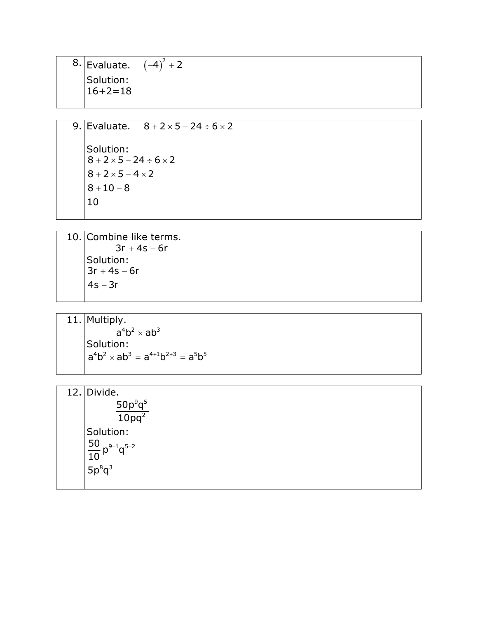8. Evaluate.  $(-4)^2 + 2$ Solution:  $16+2=18$ 

9. Evaluate.  $8 + 2 \times 5 - 24 \div 6 \times 2$ Solution:  $8 + 2 \times 5 - 24 \div 6 \times 2$  $8+2\times5-4\times2$  $8 + 10 - 8$ 10

10. Combine like terms.  $3r + 4s - 6r$  $3r + 4s - 6r$ Solution: − 4 3 *s r*

11. Multiply.  $a^4b^2 \times ab^3$ Solution:  $a^4b^2 \times ab^3 = a^{4+1}b^{2+3} = a^5b^5$ 

| 12. Divide.                                          |
|------------------------------------------------------|
| $\frac{50\rho^9q^5}{2}$                              |
| $\overline{10pq^2}$                                  |
| Solution:                                            |
|                                                      |
| $\frac{50}{10} \rho^{9-1} q^{5-2}$<br>$5 \rho^8 q^3$ |
|                                                      |
|                                                      |
|                                                      |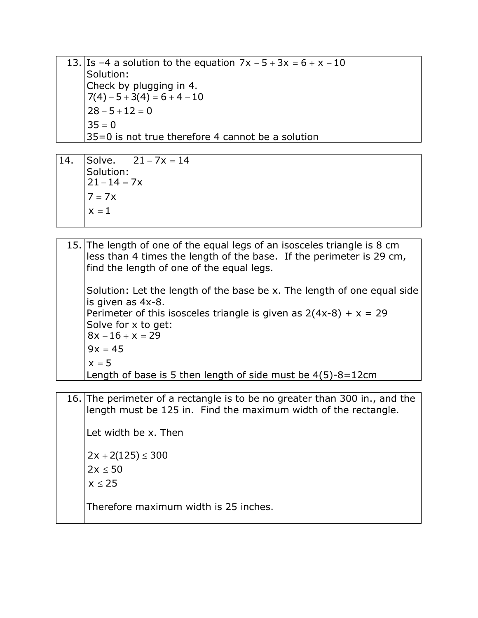13. Is –4 a solution to the equation  $7x - 5 + 3x = 6 + x - 10$ Solution: Check by plugging in 4.  $7(4) - 5 + 3(4) = 6 + 4 - 10$  $28 - 5 + 12 = 0$  $35 = 0$ 35=0 is not true therefore 4 cannot be a solution

- 14. Solve.  $21 7x = 14$ Solution:  $21 - 14 = 7x$  $7 = 7x$  $x = 1$
- 15. The length of one of the equal legs of an isosceles triangle is 8 cm less than 4 times the length of the base. If the perimeter is 29 cm, find the length of one of the equal legs. Solution: Let the length of the base be x. The length of one equal side is given as 4x-8. Perimeter of this isosceles triangle is given as  $2(4x-8) + x = 29$ Solve for x to get:  $8x - 16 + x = 29$  $9x = 45$  $x = 5$ Length of base is 5 then length of side must be 4(5)-8=12cm
- 16. The perimeter of a rectangle is to be no greater than 300 in., and the length must be 125 in. Find the maximum width of the rectangle. Let width be x. Then  $2x + 2(125) \le 300$  $2x \le 50$

≤ 25 *x*

Therefore maximum width is 25 inches.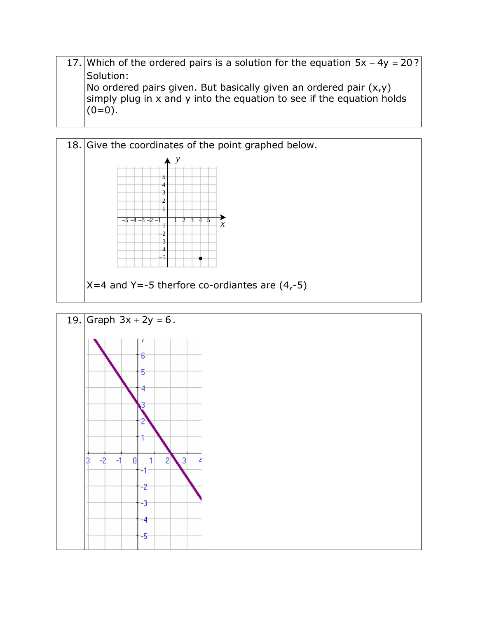17. Which of the ordered pairs is a solution for the equation  $5x - 4y = 20$ ? Solution: No ordered pairs given. But basically given an ordered pair  $(x,y)$ simply plug in x and y into the equation to see if the equation holds  $(0=0)$ .



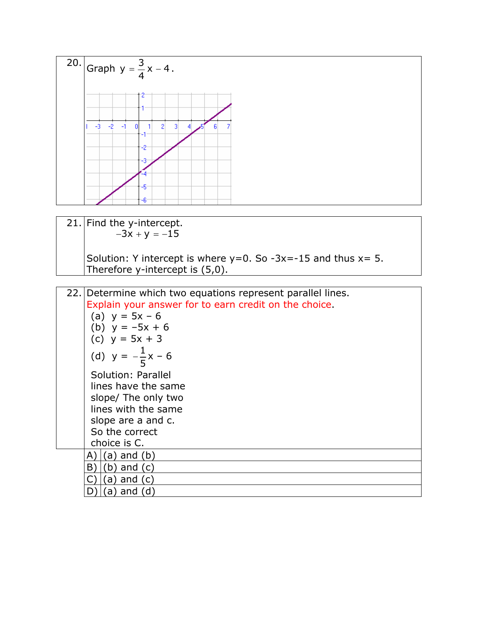

| 21. Find the y-intercept.                                          |
|--------------------------------------------------------------------|
| $-3x + y = -15$                                                    |
|                                                                    |
| Solution: Y intercept is where $y=0$ . So -3x=-15 and thus $x=5$ . |
| Therefore y-intercept is $(5,0)$ .                                 |

| 22. Determine which two equations represent parallel lines. |
|-------------------------------------------------------------|
| Explain your answer for to earn credit on the choice.       |
| (a) $y = 5x - 6$                                            |
| (b) $y = -5x + 6$                                           |
| (c) $y = 5x + 3$                                            |
| (d) $y = -\frac{1}{5}x - 6$                                 |
| Solution: Parallel                                          |
| lines have the same                                         |
| slope/ The only two                                         |
| lines with the same                                         |
| slope are a and c.                                          |
| So the correct                                              |
| choice is C.                                                |
| (a) and (b)                                                 |
| B)<br>(b) and (c)                                           |
| $(a)$ and $(c)$                                             |
| and<br>a)<br><sub>d</sub>                                   |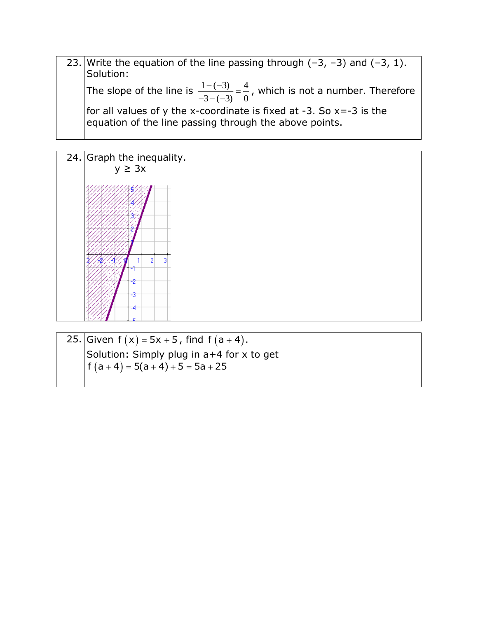23. Write the equation of the line passing through  $(-3, -3)$  and  $(-3, 1)$ . Solution: The slope of the line is  $\frac{1-(-3)}{2} = \frac{4}{3}$  $\frac{1-(-3)}{-3-(-3)} = \frac{4}{0}$ , which is not a number. Therefore for all values of y the x-coordinate is fixed at -3. So  $x=-3$  is the equation of the line passing through the above points.



25. Given  $f(x) = 5x + 5$ , find  $f(a + 4)$ . Solution: Simply plug in a+4 for x to get  $f(a+4) = 5(a+4) + 5 = 5a + 25$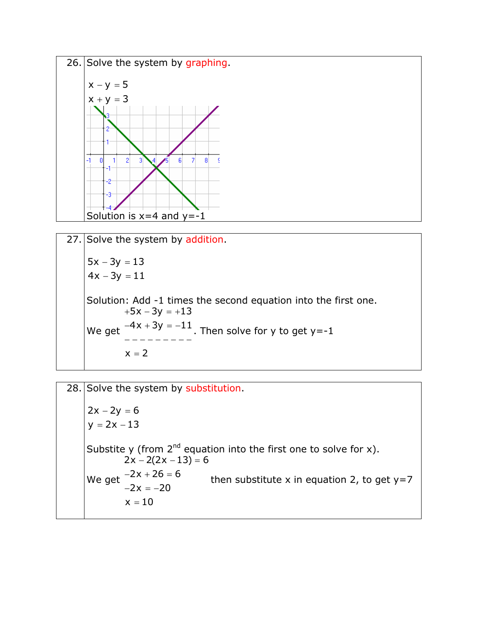

27. Solve the system by addition.  
\n
$$
5x-3y = 13
$$
\n
$$
4x-3y = 11
$$
\nSolution: Add -1 times the second equation into the first one.  
\n
$$
+5x-3y = +13
$$
\nWe get 
$$
\frac{-4x+3y = -11}{------}
$$
. Then solve for y to get y=-1  
\n
$$
x = 2
$$

28. Solve the system by substitution.  $2x - 2y = 6$  $y = 2x - 13$ 6 Substite y (from  $2^{nd}$  equation into the first one to solve for x). then substitute x in equation 2, to get  $y=7$  $2x - 2(2x - 13) =$  $-2x + 26 = 6$  $-2x = -20$  $x = 10$